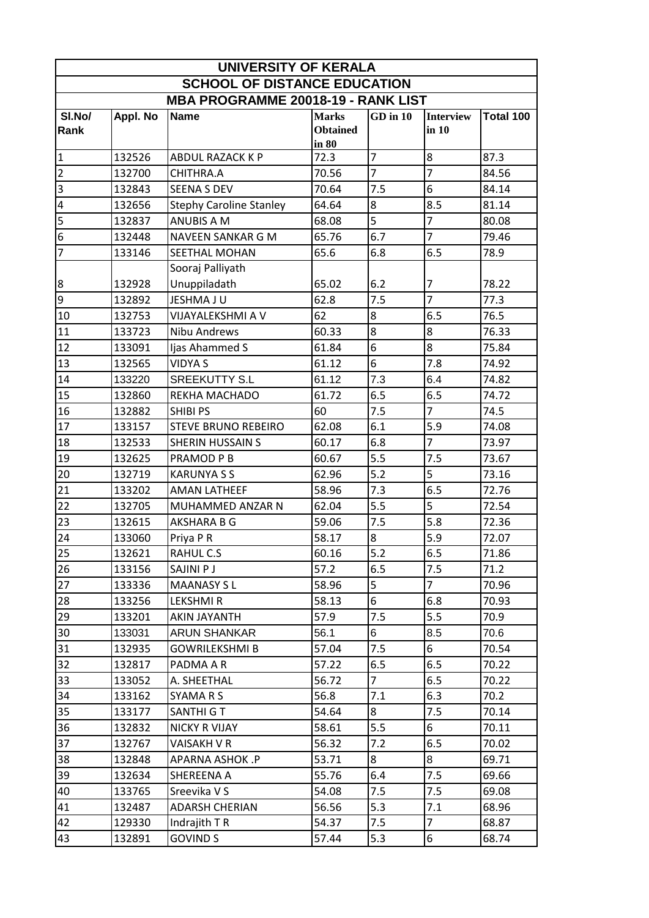| UNIVERSITY OF KERALA                      |                  |                                        |                 |                       |                  |               |  |
|-------------------------------------------|------------------|----------------------------------------|-----------------|-----------------------|------------------|---------------|--|
| <b>SCHOOL OF DISTANCE EDUCATION</b>       |                  |                                        |                 |                       |                  |               |  |
| <b>MBA PROGRAMME 20018-19 - RANK LIST</b> |                  |                                        |                 |                       |                  |               |  |
| SI.No/                                    | Appl. No         | <b>Name</b>                            | <b>Marks</b>    | $GD$ in $10$          | <b>Interview</b> | Total 100     |  |
| Rank                                      |                  |                                        | <b>Obtained</b> |                       | in 10            |               |  |
| $\overline{1}$                            | 132526           | ABDUL RAZACK K P                       | in 80<br>72.3   | $\overline{7}$        | 8                | 87.3          |  |
| $\mathbf 2$                               | 132700           | CHITHRA.A                              | 70.56           | $\overline{7}$        | $\overline{7}$   | 84.56         |  |
| 3                                         | 132843           | <b>SEENA S DEV</b>                     | 70.64           | 7.5                   | 6                | 84.14         |  |
| $\overline{\mathbf{r}}$                   | 132656           | <b>Stephy Caroline Stanley</b>         | 64.64           | 8                     | 8.5              | 81.14         |  |
| 5                                         | 132837           | <b>ANUBIS A M</b>                      | 68.08           | 5                     | $\overline{7}$   | 80.08         |  |
| $\sqrt{6}$                                |                  | NAVEEN SANKAR G M                      | 65.76           | 6.7                   | $\overline{7}$   | 79.46         |  |
| $\overline{7}$                            | 132448<br>133146 | SEETHAL MOHAN                          | 65.6            | 6.8                   | 6.5              | 78.9          |  |
|                                           |                  |                                        |                 |                       |                  |               |  |
| $\boldsymbol{8}$                          | 132928           | Sooraj Palliyath<br>Unuppiladath       | 65.02           | 6.2                   | $\overline{7}$   | 78.22         |  |
| $\overline{9}$                            | 132892           | JESHMA JU                              | 62.8            | 7.5                   | $\overline{7}$   | 77.3          |  |
| 10                                        | 132753           | VIJAYALEKSHMI A V                      | 62              | 8                     | 6.5              | 76.5          |  |
| 11                                        | 133723           | Nibu Andrews                           | 60.33           | 8                     | 8                | 76.33         |  |
| 12                                        | 133091           | Ijas Ahammed S                         | 61.84           | 6                     | 8                | 75.84         |  |
| 13                                        | 132565           | <b>VIDYA S</b>                         | 61.12           | 6                     | 7.8              | 74.92         |  |
| 14                                        | 133220           | <b>SREEKUTTY S.L</b>                   | 61.12           | 7.3                   | 6.4              | 74.82         |  |
| 15                                        | 132860           | REKHA MACHADO                          | 61.72           | 6.5                   | 6.5              | 74.72         |  |
| 16                                        | 132882           | <b>SHIBI PS</b>                        | 60              | 7.5                   | $\overline{7}$   | 74.5          |  |
| 17                                        | 133157           | <b>STEVE BRUNO REBEIRO</b>             | 62.08           | 6.1                   | 5.9              | 74.08         |  |
| 18                                        | 132533           | <b>SHERIN HUSSAIN S</b>                | 60.17           | 6.8                   | $\overline{7}$   | 73.97         |  |
| 19                                        | 132625           | PRAMOD P B                             | 60.67           | 5.5                   | 7.5              | 73.67         |  |
|                                           |                  | <b>KARUNYA S S</b>                     | 62.96           | 5.2                   | 5                | 73.16         |  |
| 20<br>21                                  | 132719           | <b>AMAN LATHEEF</b>                    | 58.96           | 7.3                   | 6.5              | 72.76         |  |
| 22                                        | 133202<br>132705 | MUHAMMED ANZAR N                       | 62.04           | 5.5                   | 5                | 72.54         |  |
| 23                                        | 132615           | AKSHARA B G                            | 59.06           | 7.5                   | 5.8              | 72.36         |  |
| 24                                        |                  | Priya P R                              | 58.17           | 8                     | 5.9              | 72.07         |  |
| 25                                        | 133060<br>132621 | RAHUL C.S                              | 60.16           | $5.2$                 | 6.5              | 71.86         |  |
| 26                                        | 133156           | SAJINI P J                             | 57.2            | 6.5                   | 7.5              | 71.2          |  |
| 27                                        |                  | <b>MAANASY SL</b>                      | 58.96           | 5                     | $\overline{7}$   | 70.96         |  |
|                                           | 133336           |                                        |                 | 6                     | 6.8              |               |  |
| 28<br>29                                  | 133256           | <b>LEKSHMIR</b><br><b>AKIN JAYANTH</b> | 58.13<br>57.9   | 7.5                   | 5.5              | 70.93<br>70.9 |  |
|                                           | 133201<br>133031 | <b>ARUN SHANKAR</b>                    | 56.1            | 6                     | 8.5              | 70.6          |  |
| 30<br>31                                  |                  |                                        | 57.04           |                       | 6                | 70.54         |  |
|                                           | 132935           | <b>GOWRILEKSHMI B</b>                  |                 | 7.5                   |                  |               |  |
| 32                                        | 132817           | PADMA A R<br>A. SHEETHAL               | 57.22<br>56.72  | 6.5<br>$\overline{7}$ | 6.5              | 70.22         |  |
| 33                                        | 133052           |                                        |                 | 7.1                   | 6.5              | 70.22         |  |
| 34                                        | 133162           | SYAMARS                                | 56.8            |                       | 6.3              | 70.2          |  |
| 35                                        | 133177           | <b>SANTHI G T</b>                      | 54.64           | 8                     | 7.5              | 70.14         |  |
| 36                                        | 132832           | NICKY R VIJAY                          | 58.61           | 5.5                   | 6                | 70.11         |  |
| 37                                        | 132767           | VAISAKH V R                            | 56.32           | 7.2                   | 6.5              | 70.02         |  |
| 38                                        | 132848           | APARNA ASHOK .P                        | 53.71           | 8                     | 8                | 69.71         |  |
| 39                                        | 132634           | SHEREENA A                             | 55.76           | 6.4                   | 7.5              | 69.66         |  |
| 40                                        | 133765           | Sreevika V S                           | 54.08           | 7.5                   | 7.5              | 69.08         |  |
| 41                                        | 132487           | <b>ADARSH CHERIAN</b>                  | 56.56           | 5.3                   | 7.1              | 68.96         |  |
| 42                                        | 129330           | Indrajith T R                          | 54.37           | 7.5                   | $\overline{7}$   | 68.87         |  |
| 43                                        | 132891           | <b>GOVIND S</b>                        | 57.44           | 5.3                   | 6                | 68.74         |  |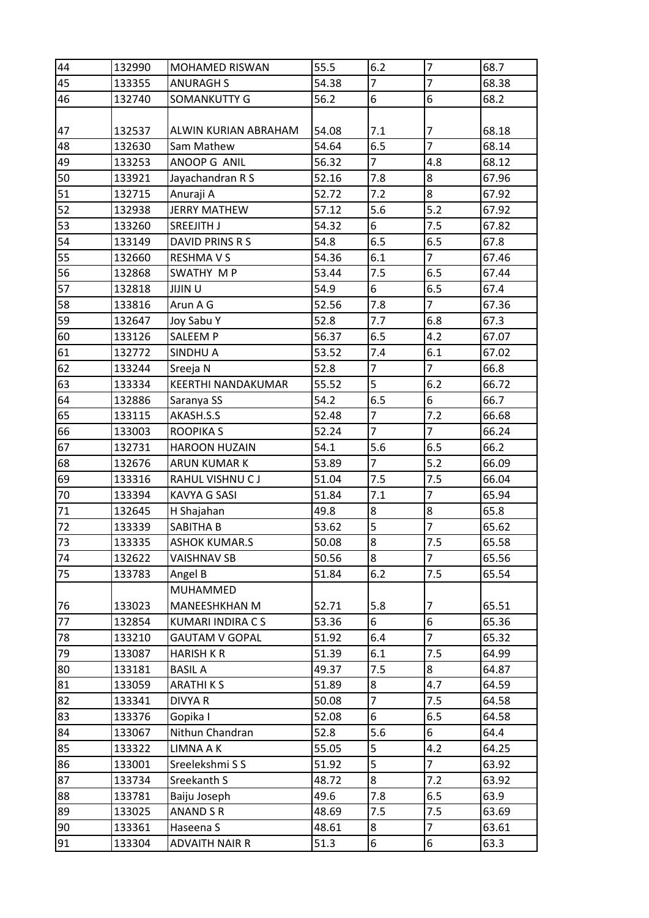| 44 | 132990 | <b>MOHAMED RISWAN</b>   | 55.5  | 6.2            | $\overline{7}$ | 68.7  |
|----|--------|-------------------------|-------|----------------|----------------|-------|
| 45 | 133355 | <b>ANURAGH S</b>        | 54.38 | $\overline{7}$ | $\overline{7}$ | 68.38 |
| 46 | 132740 | SOMANKUTTY G            | 56.2  | 6              | 6              | 68.2  |
|    |        |                         |       |                |                |       |
| 47 | 132537 | ALWIN KURIAN ABRAHAM    | 54.08 | 7.1            | 7              | 68.18 |
| 48 | 132630 | Sam Mathew              | 54.64 | 6.5            | $\overline{7}$ | 68.14 |
| 49 | 133253 | ANOOP G ANIL            | 56.32 | $\overline{7}$ | 4.8            | 68.12 |
| 50 | 133921 | Jayachandran R S        | 52.16 | 7.8            | 8              | 67.96 |
| 51 | 132715 | Anuraji A               | 52.72 | 7.2            | 8              | 67.92 |
| 52 | 132938 | <b>JERRY MATHEW</b>     | 57.12 | 5.6            | 5.2            | 67.92 |
| 53 | 133260 | <b>SREEJITH J</b>       | 54.32 | 6              | 7.5            | 67.82 |
| 54 | 133149 | DAVID PRINS R S         | 54.8  | 6.5            | 6.5            | 67.8  |
| 55 | 132660 | <b>RESHMAVS</b>         | 54.36 | 6.1            | $\overline{7}$ | 67.46 |
| 56 | 132868 | SWATHY M P              | 53.44 | 7.5            | 6.5            | 67.44 |
| 57 | 132818 | <b>JIJINU</b>           | 54.9  | 6              | 6.5            | 67.4  |
| 58 | 133816 | Arun A G                | 52.56 | 7.8            | $\overline{7}$ | 67.36 |
| 59 | 132647 | Joy Sabu Y              | 52.8  | 7.7            | 6.8            | 67.3  |
| 60 | 133126 | <b>SALEEM P</b>         | 56.37 | 6.5            | 4.2            | 67.07 |
| 61 | 132772 | SINDHU A                | 53.52 | 7.4            | 6.1            | 67.02 |
| 62 | 133244 | Sreeja N                | 52.8  | $\overline{7}$ | $\overline{7}$ | 66.8  |
| 63 | 133334 | KEERTHI NANDAKUMAR      | 55.52 | 5              | 6.2            | 66.72 |
| 64 | 132886 | Saranya SS              | 54.2  | 6.5            | 6              | 66.7  |
| 65 | 133115 | AKASH.S.S               | 52.48 | $\overline{7}$ | 7.2            | 66.68 |
| 66 | 133003 | <b>ROOPIKAS</b>         | 52.24 | $\overline{7}$ | $\overline{7}$ | 66.24 |
| 67 | 132731 | <b>HAROON HUZAIN</b>    | 54.1  | 5.6            | 6.5            | 66.2  |
| 68 | 132676 | <b>ARUN KUMAR K</b>     | 53.89 | $\overline{7}$ | $5.2$          | 66.09 |
| 69 | 133316 | RAHUL VISHNU CJ         | 51.04 | 7.5            | 7.5            | 66.04 |
| 70 | 133394 | <b>KAVYA G SASI</b>     | 51.84 | 7.1            | $\overline{7}$ | 65.94 |
| 71 | 132645 | H Shajahan              | 49.8  | 8              | 8              | 65.8  |
| 72 | 133339 | SABITHA B               | 53.62 | 5              | $\overline{7}$ | 65.62 |
| 73 | 133335 | <b>ASHOK KUMAR.S</b>    | 50.08 | 8              | 7.5            | 65.58 |
| 74 | 132622 | <b>VAISHNAV SB</b>      | 50.56 | 8              | $\overline{7}$ | 65.56 |
| 75 | 133783 | Angel B                 | 51.84 | 6.2            | 7.5            | 65.54 |
|    |        | MUHAMMED                |       |                |                |       |
| 76 | 133023 | MANEESHKHAN M           | 52.71 | 5.8            | 7              | 65.51 |
| 77 | 132854 | <b>KUMARI INDIRA CS</b> | 53.36 | 6              | $\overline{6}$ | 65.36 |
| 78 | 133210 | <b>GAUTAM V GOPAL</b>   | 51.92 | 6.4            | $\overline{7}$ | 65.32 |
| 79 | 133087 | <b>HARISH K R</b>       | 51.39 | 6.1            | 7.5            | 64.99 |
| 80 | 133181 | <b>BASIL A</b>          | 49.37 | 7.5            | 8              | 64.87 |
| 81 | 133059 | <b>ARATHIKS</b>         | 51.89 | 8              | 4.7            | 64.59 |
| 82 | 133341 | DIVYA R                 | 50.08 | $\overline{7}$ | 7.5            | 64.58 |
| 83 | 133376 | Gopika I                | 52.08 | 6              | 6.5            | 64.58 |
| 84 | 133067 | Nithun Chandran         | 52.8  | 5.6            | 6              | 64.4  |
| 85 | 133322 | LIMNA A K               | 55.05 | 5              | 4.2            | 64.25 |
| 86 | 133001 | Sreelekshmi S S         | 51.92 | 5              | $\overline{7}$ | 63.92 |
| 87 | 133734 | Sreekanth S             | 48.72 | 8              | 7.2            | 63.92 |
| 88 | 133781 | Baiju Joseph            | 49.6  | 7.8            | 6.5            | 63.9  |
| 89 | 133025 | ANAND S R               | 48.69 | 7.5            | 7.5            | 63.69 |
| 90 | 133361 | Haseena S               | 48.61 | 8              | $\overline{7}$ | 63.61 |
| 91 | 133304 | <b>ADVAITH NAIR R</b>   | 51.3  | 6              | 6              | 63.3  |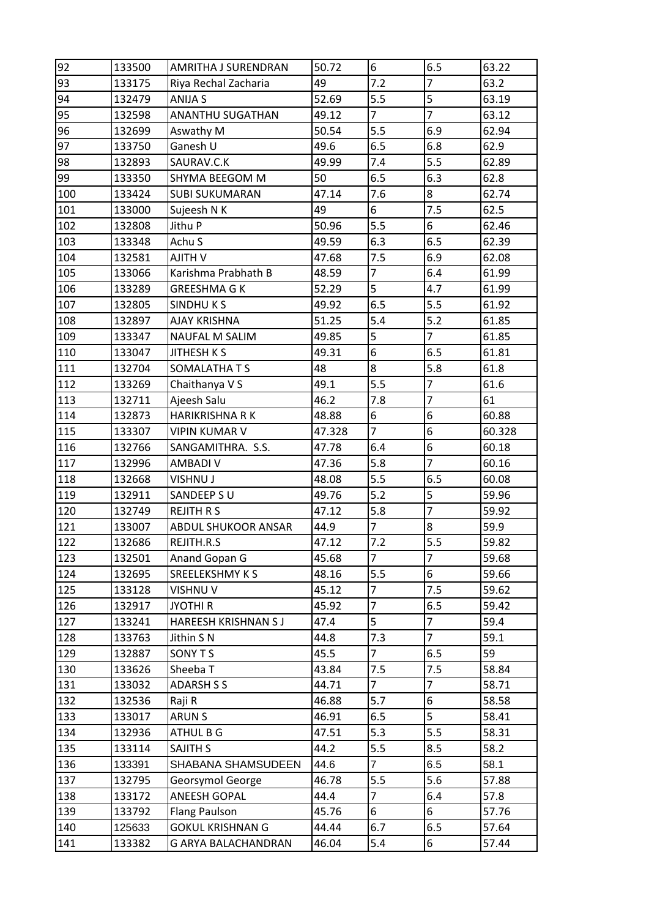| 92  | 133500 | AMRITHA J SURENDRAN     | 50.72  | 6                        | 6.5            | 63.22  |
|-----|--------|-------------------------|--------|--------------------------|----------------|--------|
| 93  | 133175 | Riya Rechal Zacharia    | 49     | 7.2                      | $\overline{7}$ | 63.2   |
| 94  | 132479 | ANIJA S                 | 52.69  | 5.5                      | 5              | 63.19  |
| 95  | 132598 | <b>ANANTHU SUGATHAN</b> | 49.12  | $\overline{7}$           | $\overline{7}$ | 63.12  |
| 96  | 132699 | Aswathy M               | 50.54  | 5.5                      | 6.9            | 62.94  |
| 97  | 133750 | Ganesh U                | 49.6   | 6.5                      | 6.8            | 62.9   |
| 98  | 132893 | SAURAV.C.K              | 49.99  | 7.4                      | 5.5            | 62.89  |
| 99  | 133350 | SHYMA BEEGOM M          | 50     | 6.5                      | 6.3            | 62.8   |
| 100 | 133424 | <b>SUBI SUKUMARAN</b>   | 47.14  | 7.6                      | 8              | 62.74  |
| 101 | 133000 | Sujeesh N K             | 49     | 6                        | 7.5            | 62.5   |
| 102 | 132808 | Jithu P                 | 50.96  | 5.5                      | 6              | 62.46  |
| 103 | 133348 | Achu S                  | 49.59  | 6.3                      | 6.5            | 62.39  |
| 104 | 132581 | <b>AJITH V</b>          | 47.68  | 7.5                      | 6.9            | 62.08  |
| 105 | 133066 | Karishma Prabhath B     | 48.59  | $\overline{7}$           | 6.4            | 61.99  |
| 106 | 133289 | <b>GREESHMA G K</b>     | 52.29  | $\overline{5}$           | 4.7            | 61.99  |
| 107 | 132805 | <b>SINDHUKS</b>         | 49.92  | 6.5                      | 5.5            | 61.92  |
| 108 | 132897 | <b>AJAY KRISHNA</b>     | 51.25  | 5.4                      | 5.2            | 61.85  |
| 109 | 133347 | <b>NAUFAL M SALIM</b>   | 49.85  | 5                        | $\overline{7}$ | 61.85  |
| 110 | 133047 | <b>JITHESH K S</b>      | 49.31  | 6                        | 6.5            | 61.81  |
| 111 | 132704 | SOMALATHA T S           | 48     | 8                        | 5.8            | 61.8   |
| 112 | 133269 | Chaithanya V S          | 49.1   | 5.5                      | $\overline{7}$ | 61.6   |
| 113 | 132711 | Ajeesh Salu             | 46.2   | 7.8                      | $\overline{7}$ | 61     |
| 114 | 132873 | <b>HARIKRISHNA RK</b>   | 48.88  | 6                        | 6              | 60.88  |
| 115 | 133307 | <b>VIPIN KUMAR V</b>    | 47.328 | $\overline{7}$           | 6              | 60.328 |
| 116 | 132766 | SANGAMITHRA. S.S.       | 47.78  | 6.4                      | 6              | 60.18  |
| 117 | 132996 | <b>AMBADI V</b>         | 47.36  | 5.8                      | $\overline{7}$ | 60.16  |
| 118 | 132668 | VISHNU J                | 48.08  | 5.5                      | 6.5            | 60.08  |
| 119 | 132911 | SANDEEP SU              | 49.76  | 5.2                      | 5              | 59.96  |
| 120 | 132749 | <b>REJITH R S</b>       | 47.12  | 5.8                      | $\overline{7}$ | 59.92  |
| 121 | 133007 | ABDUL SHUKOOR ANSAR     | 44.9   | $\overline{7}$           | 8              | 59.9   |
| 122 | 132686 | REJITH.R.S              | 47.12  | 7.2                      | 5.5            | 59.82  |
| 123 | 132501 | Anand Gopan G           | 45.68  | $\overline{7}$           | $\overline{7}$ | 59.68  |
| 124 | 132695 | SREELEKSHMY K S         | 48.16  | 5.5                      | 6              | 59.66  |
| 125 | 133128 | VISHNU V                | 45.12  | $\overline{\mathcal{I}}$ | 7.5            | 59.62  |
| 126 | 132917 | <b>JYOTHI R</b>         | 45.92  | $\overline{7}$           | 6.5            | 59.42  |
| 127 | 133241 | HAREESH KRISHNAN S J    | 47.4   | 5                        | $\overline{7}$ | 59.4   |
| 128 | 133763 | Jithin S N              | 44.8   | 7.3                      | $\overline{7}$ | 59.1   |
| 129 | 132887 | SONY T S                | 45.5   | $\overline{7}$           | 6.5            | 59     |
| 130 | 133626 | Sheeba T                | 43.84  | 7.5                      | 7.5            | 58.84  |
| 131 | 133032 | <b>ADARSH S S</b>       | 44.71  | $\overline{7}$           | $\overline{7}$ | 58.71  |
| 132 | 132536 | Raji R                  | 46.88  | 5.7                      | 6              | 58.58  |
| 133 | 133017 | <b>ARUNS</b>            | 46.91  | 6.5                      | 5              | 58.41  |
| 134 | 132936 | ATHUL B G               | 47.51  | 5.3                      | 5.5            | 58.31  |
| 135 | 133114 | <b>SAJITH S</b>         | 44.2   | 5.5                      | 8.5            | 58.2   |
| 136 | 133391 | SHABANA SHAMSUDEEN      | 44.6   | $\overline{7}$           | 6.5            | 58.1   |
| 137 | 132795 | Georsymol George        | 46.78  | 5.5                      | 5.6            | 57.88  |
| 138 | 133172 | <b>ANEESH GOPAL</b>     | 44.4   | $\overline{7}$           | 6.4            | 57.8   |
| 139 | 133792 | <b>Flang Paulson</b>    | 45.76  | 6                        | 6              | 57.76  |
| 140 | 125633 | <b>GOKUL KRISHNAN G</b> | 44.44  | 6.7                      | 6.5            | 57.64  |
| 141 | 133382 | G ARYA BALACHANDRAN     | 46.04  | 5.4                      | 6              | 57.44  |